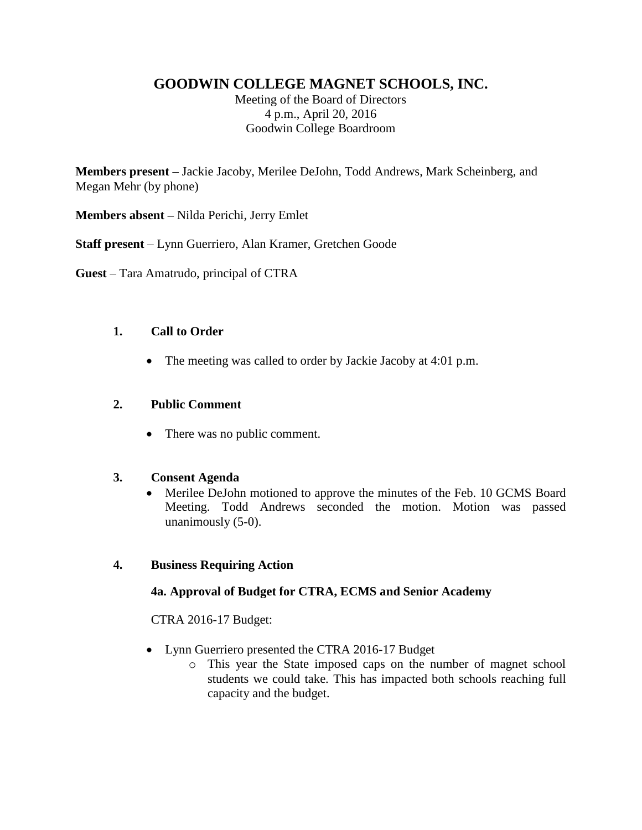# **GOODWIN COLLEGE MAGNET SCHOOLS, INC.**

Meeting of the Board of Directors 4 p.m., April 20, 2016 Goodwin College Boardroom

**Members present –** Jackie Jacoby, Merilee DeJohn, Todd Andrews, Mark Scheinberg, and Megan Mehr (by phone)

**Members absent –** Nilda Perichi, Jerry Emlet

**Staff present** – Lynn Guerriero, Alan Kramer, Gretchen Goode

**Guest** – Tara Amatrudo, principal of CTRA

#### **1. Call to Order**

• The meeting was called to order by Jackie Jacoby at 4:01 p.m.

#### **2. Public Comment**

• There was no public comment.

### **3. Consent Agenda**

• Merilee DeJohn motioned to approve the minutes of the Feb. 10 GCMS Board Meeting. Todd Andrews seconded the motion. Motion was passed unanimously (5-0).

### **4. Business Requiring Action**

### **4a. Approval of Budget for CTRA, ECMS and Senior Academy**

CTRA 2016-17 Budget:

- Lynn Guerriero presented the CTRA 2016-17 Budget
	- o This year the State imposed caps on the number of magnet school students we could take. This has impacted both schools reaching full capacity and the budget.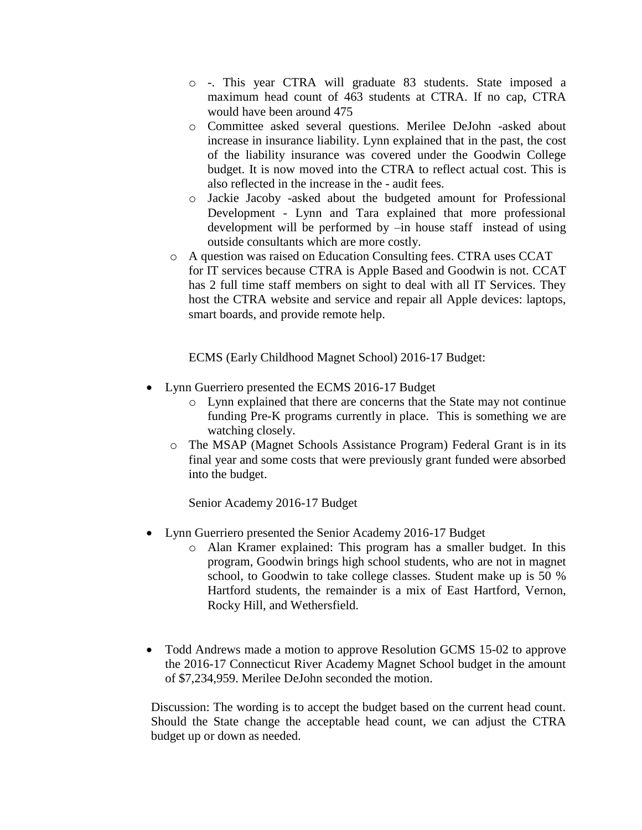- o -. This year CTRA will graduate 83 students. State imposed a maximum head count of 463 students at CTRA. If no cap, CTRA would have been around 475
- o Committee asked several questions. Merilee DeJohn -asked about increase in insurance liability. Lynn explained that in the past, the cost of the liability insurance was covered under the Goodwin College budget. It is now moved into the CTRA to reflect actual cost. This is also reflected in the increase in the - audit fees.
- o Jackie Jacoby -asked about the budgeted amount for Professional Development - Lynn and Tara explained that more professional development will be performed by –in house staff instead of using outside consultants which are more costly.
- o A question was raised on Education Consulting fees. CTRA uses CCAT for IT services because CTRA is Apple Based and Goodwin is not. CCAT has 2 full time staff members on sight to deal with all IT Services. They host the CTRA website and service and repair all Apple devices: laptops, smart boards, and provide remote help.

ECMS (Early Childhood Magnet School) 2016-17 Budget:

- Lynn Guerriero presented the ECMS 2016-17 Budget
	- o Lynn explained that there are concerns that the State may not continue funding Pre-K programs currently in place. This is something we are watching closely.
	- o The MSAP (Magnet Schools Assistance Program) Federal Grant is in its final year and some costs that were previously grant funded were absorbed into the budget.

Senior Academy 2016-17 Budget

- Lynn Guerriero presented the Senior Academy 2016-17 Budget
	- o Alan Kramer explained: This program has a smaller budget. In this program, Goodwin brings high school students, who are not in magnet school, to Goodwin to take college classes. Student make up is 50 % Hartford students, the remainder is a mix of East Hartford, Vernon, Rocky Hill, and Wethersfield.
- Todd Andrews made a motion to approve Resolution GCMS 15-02 to approve the 2016-17 Connecticut River Academy Magnet School budget in the amount of \$7,234,959. Merilee DeJohn seconded the motion.

Discussion: The wording is to accept the budget based on the current head count. Should the State change the acceptable head count, we can adjust the CTRA budget up or down as needed.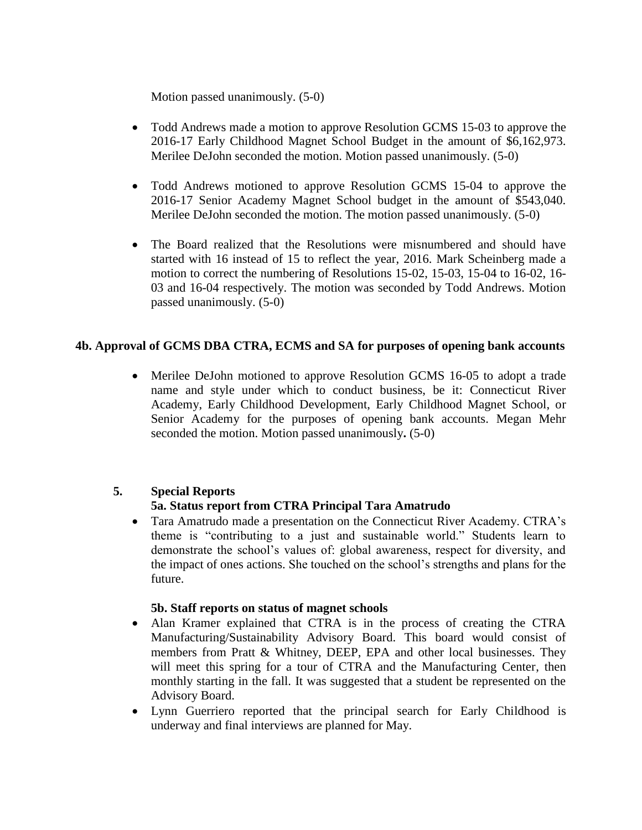Motion passed unanimously. (5-0)

- Todd Andrews made a motion to approve Resolution GCMS 15-03 to approve the 2016-17 Early Childhood Magnet School Budget in the amount of \$6,162,973. Merilee DeJohn seconded the motion. Motion passed unanimously. (5-0)
- Todd Andrews motioned to approve Resolution GCMS 15-04 to approve the 2016-17 Senior Academy Magnet School budget in the amount of \$543,040. Merilee DeJohn seconded the motion. The motion passed unanimously. (5-0)
- The Board realized that the Resolutions were misnumbered and should have started with 16 instead of 15 to reflect the year, 2016. Mark Scheinberg made a motion to correct the numbering of Resolutions 15-02, 15-03, 15-04 to 16-02, 16- 03 and 16-04 respectively. The motion was seconded by Todd Andrews. Motion passed unanimously. (5-0)

### **4b. Approval of GCMS DBA CTRA, ECMS and SA for purposes of opening bank accounts**

 Merilee DeJohn motioned to approve Resolution GCMS 16-05 to adopt a trade name and style under which to conduct business, be it: Connecticut River Academy, Early Childhood Development, Early Childhood Magnet School, or Senior Academy for the purposes of opening bank accounts. Megan Mehr seconded the motion. Motion passed unanimously**.** (5-0)

### **5. Special Reports**

### **5a. Status report from CTRA Principal Tara Amatrudo**

 Tara Amatrudo made a presentation on the Connecticut River Academy. CTRA's theme is "contributing to a just and sustainable world." Students learn to demonstrate the school's values of: global awareness, respect for diversity, and the impact of ones actions. She touched on the school's strengths and plans for the future.

#### **5b. Staff reports on status of magnet schools**

- Alan Kramer explained that CTRA is in the process of creating the CTRA Manufacturing/Sustainability Advisory Board. This board would consist of members from Pratt & Whitney, DEEP, EPA and other local businesses. They will meet this spring for a tour of CTRA and the Manufacturing Center, then monthly starting in the fall. It was suggested that a student be represented on the Advisory Board.
- Lynn Guerriero reported that the principal search for Early Childhood is underway and final interviews are planned for May.